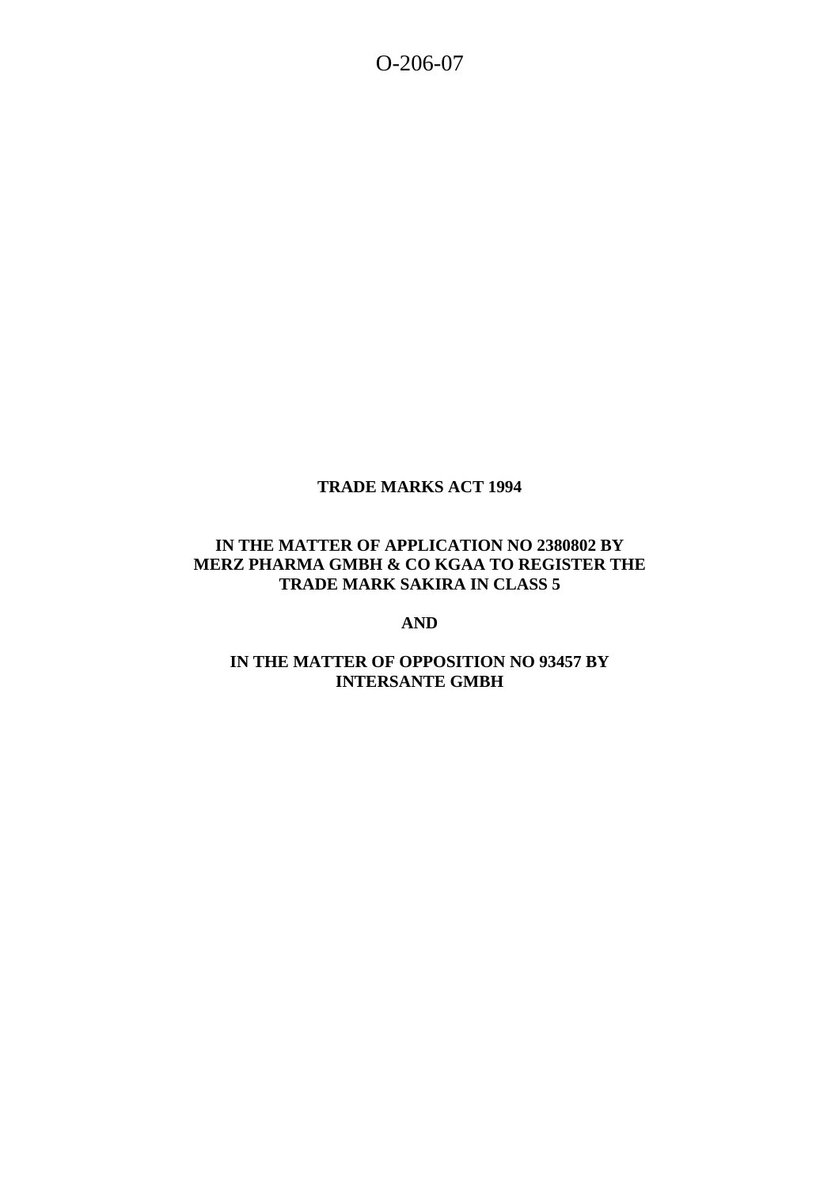O-206-07

# **TRADE MARKS ACT 1994**

## **IN THE MATTER OF APPLICATION NO 2380802 BY MERZ PHARMA GMBH & CO KGAA TO REGISTER THE TRADE MARK SAKIRA IN CLASS 5**

**AND** 

## **IN THE MATTER OF OPPOSITION NO 93457 BY INTERSANTE GMBH**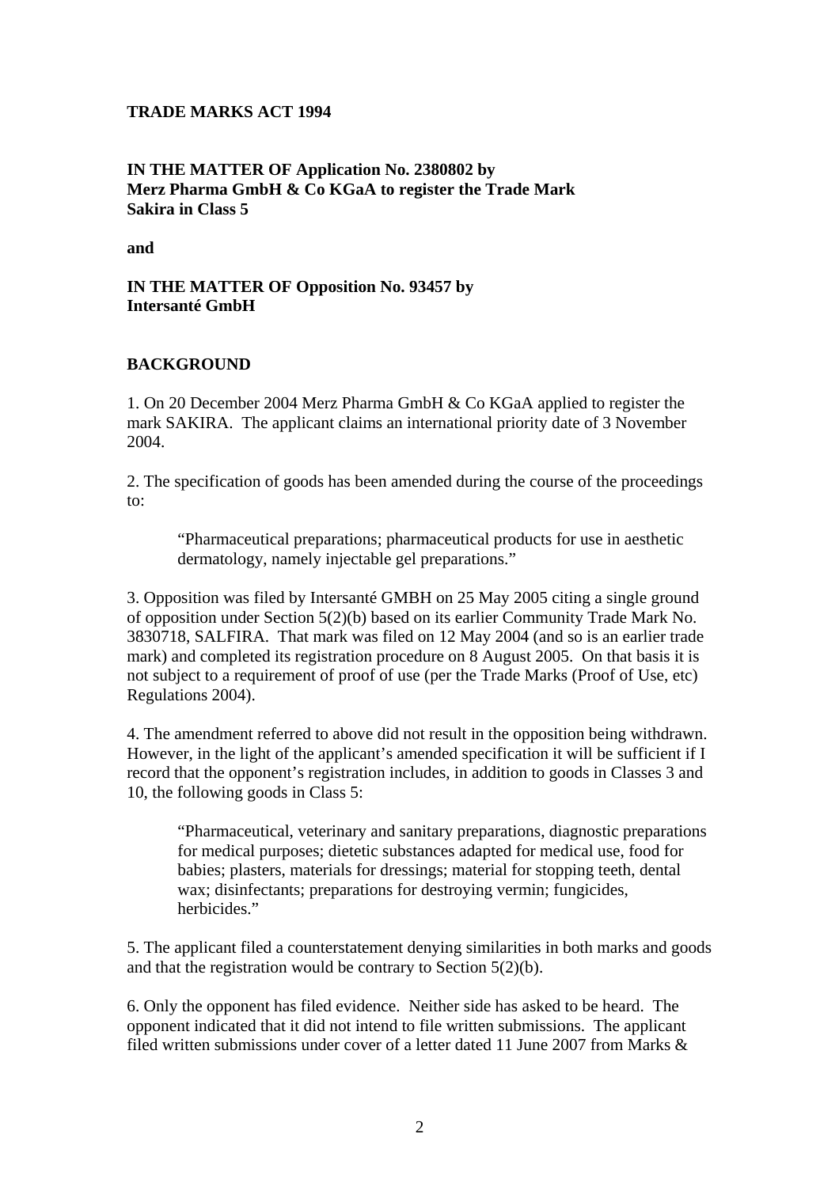#### **TRADE MARKS ACT 1994**

## **IN THE MATTER OF Application No. 2380802 by Merz Pharma GmbH & Co KGaA to register the Trade Mark Sakira in Class 5**

**and** 

### **IN THE MATTER OF Opposition No. 93457 by Intersanté GmbH**

### **BACKGROUND**

1. On 20 December 2004 Merz Pharma GmbH & Co KGaA applied to register the mark SAKIRA. The applicant claims an international priority date of 3 November 2004.

2. The specification of goods has been amended during the course of the proceedings to:

"Pharmaceutical preparations; pharmaceutical products for use in aesthetic dermatology, namely injectable gel preparations."

3. Opposition was filed by Intersanté GMBH on 25 May 2005 citing a single ground of opposition under Section 5(2)(b) based on its earlier Community Trade Mark No. 3830718, SALFIRA. That mark was filed on 12 May 2004 (and so is an earlier trade mark) and completed its registration procedure on 8 August 2005. On that basis it is not subject to a requirement of proof of use (per the Trade Marks (Proof of Use, etc) Regulations 2004).

4. The amendment referred to above did not result in the opposition being withdrawn. However, in the light of the applicant's amended specification it will be sufficient if I record that the opponent's registration includes, in addition to goods in Classes 3 and 10, the following goods in Class 5:

"Pharmaceutical, veterinary and sanitary preparations, diagnostic preparations for medical purposes; dietetic substances adapted for medical use, food for babies; plasters, materials for dressings; material for stopping teeth, dental wax; disinfectants; preparations for destroying vermin; fungicides, herbicides."

5. The applicant filed a counterstatement denying similarities in both marks and goods and that the registration would be contrary to Section 5(2)(b).

6. Only the opponent has filed evidence. Neither side has asked to be heard. The opponent indicated that it did not intend to file written submissions. The applicant filed written submissions under cover of a letter dated 11 June 2007 from Marks  $\&$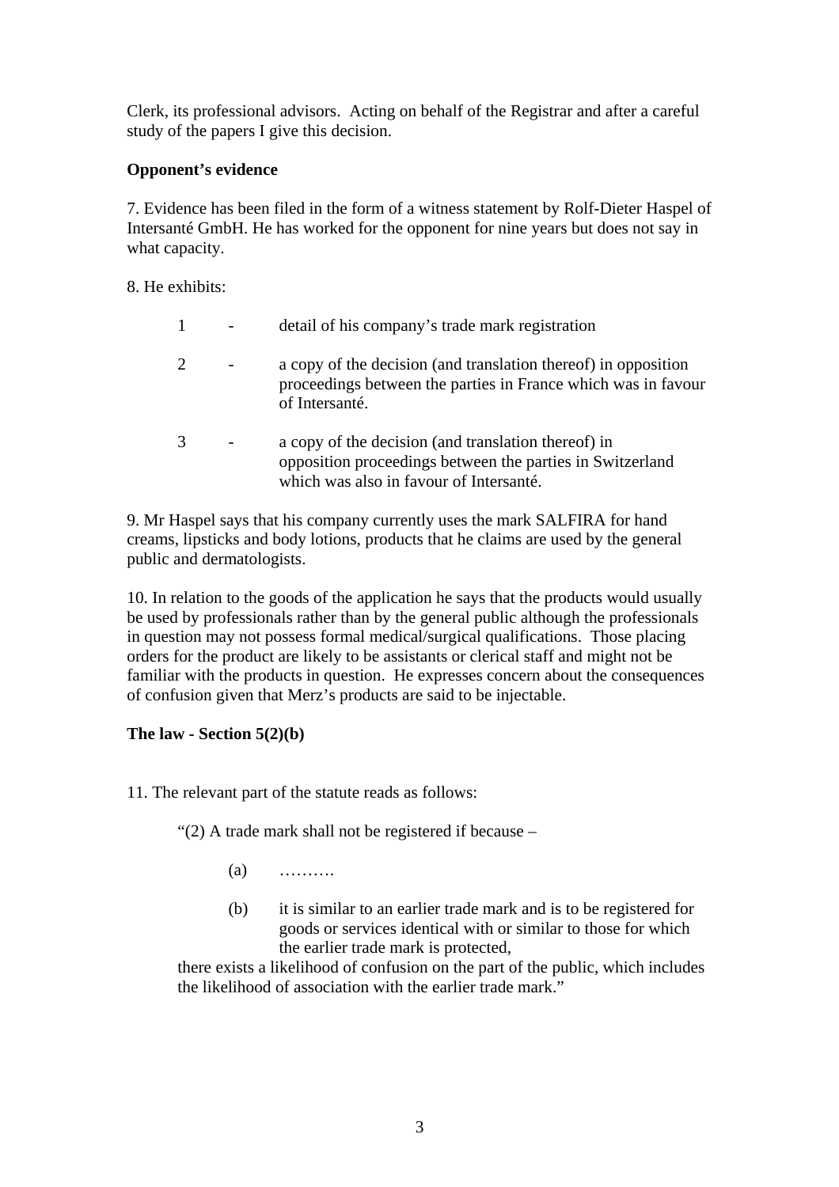Clerk, its professional advisors. Acting on behalf of the Registrar and after a careful study of the papers I give this decision.

# **Opponent's evidence**

7. Evidence has been filed in the form of a witness statement by Rolf-Dieter Haspel of Intersanté GmbH. He has worked for the opponent for nine years but does not say in what capacity.

8. He exhibits:

|   | detail of his company's trade mark registration                                                                                                             |
|---|-------------------------------------------------------------------------------------------------------------------------------------------------------------|
| 2 | a copy of the decision (and translation thereof) in opposition<br>proceedings between the parties in France which was in favour<br>of Intersanté.           |
| 3 | a copy of the decision (and translation thereof) in<br>opposition proceedings between the parties in Switzerland<br>which was also in favour of Intersanté. |

9. Mr Haspel says that his company currently uses the mark SALFIRA for hand creams, lipsticks and body lotions, products that he claims are used by the general public and dermatologists.

10. In relation to the goods of the application he says that the products would usually be used by professionals rather than by the general public although the professionals in question may not possess formal medical/surgical qualifications. Those placing orders for the product are likely to be assistants or clerical staff and might not be familiar with the products in question. He expresses concern about the consequences of confusion given that Merz's products are said to be injectable.

# **The law - Section 5(2)(b)**

11. The relevant part of the statute reads as follows:

"(2) A trade mark shall not be registered if because –

- $(a)$  ………
- (b) it is similar to an earlier trade mark and is to be registered for goods or services identical with or similar to those for which the earlier trade mark is protected,

 there exists a likelihood of confusion on the part of the public, which includes the likelihood of association with the earlier trade mark."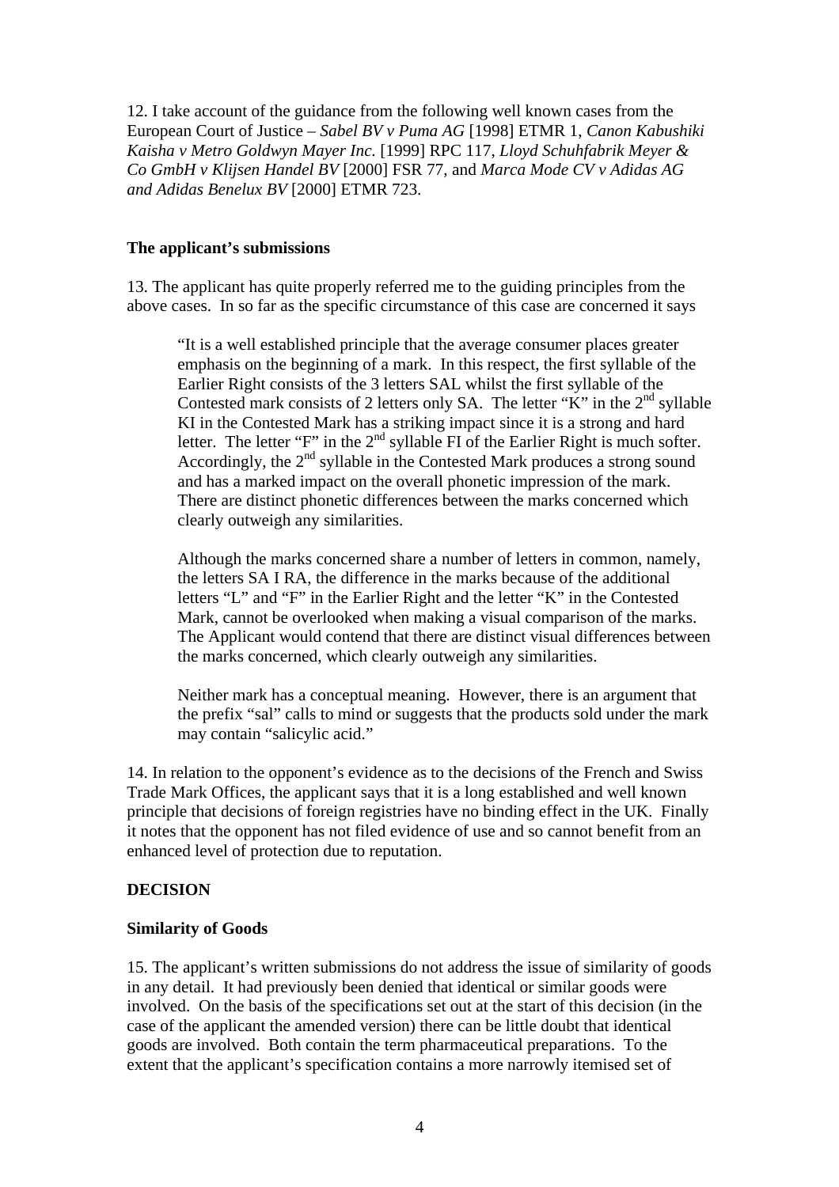12. I take account of the guidance from the following well known cases from the European Court of Justice – *Sabel BV v Puma AG* [1998] ETMR 1, *Canon Kabushiki Kaisha v Metro Goldwyn Mayer Inc.* [1999] RPC 117, *Lloyd Schuhfabrik Meyer & Co GmbH v Klijsen Handel BV* [2000] FSR 77, and *Marca Mode CV v Adidas AG and Adidas Benelux BV* [2000] ETMR 723.

### **The applicant's submissions**

13. The applicant has quite properly referred me to the guiding principles from the above cases. In so far as the specific circumstance of this case are concerned it says

 "It is a well established principle that the average consumer places greater emphasis on the beginning of a mark. In this respect, the first syllable of the Earlier Right consists of the 3 letters SAL whilst the first syllable of the Contested mark consists of 2 letters only SA. The letter "K" in the  $2<sup>nd</sup>$  syllable KI in the Contested Mark has a striking impact since it is a strong and hard letter. The letter "F" in the  $2<sup>nd</sup>$  syllable FI of the Earlier Right is much softer. Accordingly, the  $2<sup>nd</sup>$  syllable in the Contested Mark produces a strong sound and has a marked impact on the overall phonetic impression of the mark. There are distinct phonetic differences between the marks concerned which clearly outweigh any similarities.

 Although the marks concerned share a number of letters in common, namely, the letters SA I RA, the difference in the marks because of the additional letters "L" and "F" in the Earlier Right and the letter "K" in the Contested Mark, cannot be overlooked when making a visual comparison of the marks. The Applicant would contend that there are distinct visual differences between the marks concerned, which clearly outweigh any similarities.

 Neither mark has a conceptual meaning. However, there is an argument that the prefix "sal" calls to mind or suggests that the products sold under the mark may contain "salicylic acid."

14. In relation to the opponent's evidence as to the decisions of the French and Swiss Trade Mark Offices, the applicant says that it is a long established and well known principle that decisions of foreign registries have no binding effect in the UK. Finally it notes that the opponent has not filed evidence of use and so cannot benefit from an enhanced level of protection due to reputation.

# **DECISION**

# **Similarity of Goods**

15. The applicant's written submissions do not address the issue of similarity of goods in any detail. It had previously been denied that identical or similar goods were involved. On the basis of the specifications set out at the start of this decision (in the case of the applicant the amended version) there can be little doubt that identical goods are involved. Both contain the term pharmaceutical preparations. To the extent that the applicant's specification contains a more narrowly itemised set of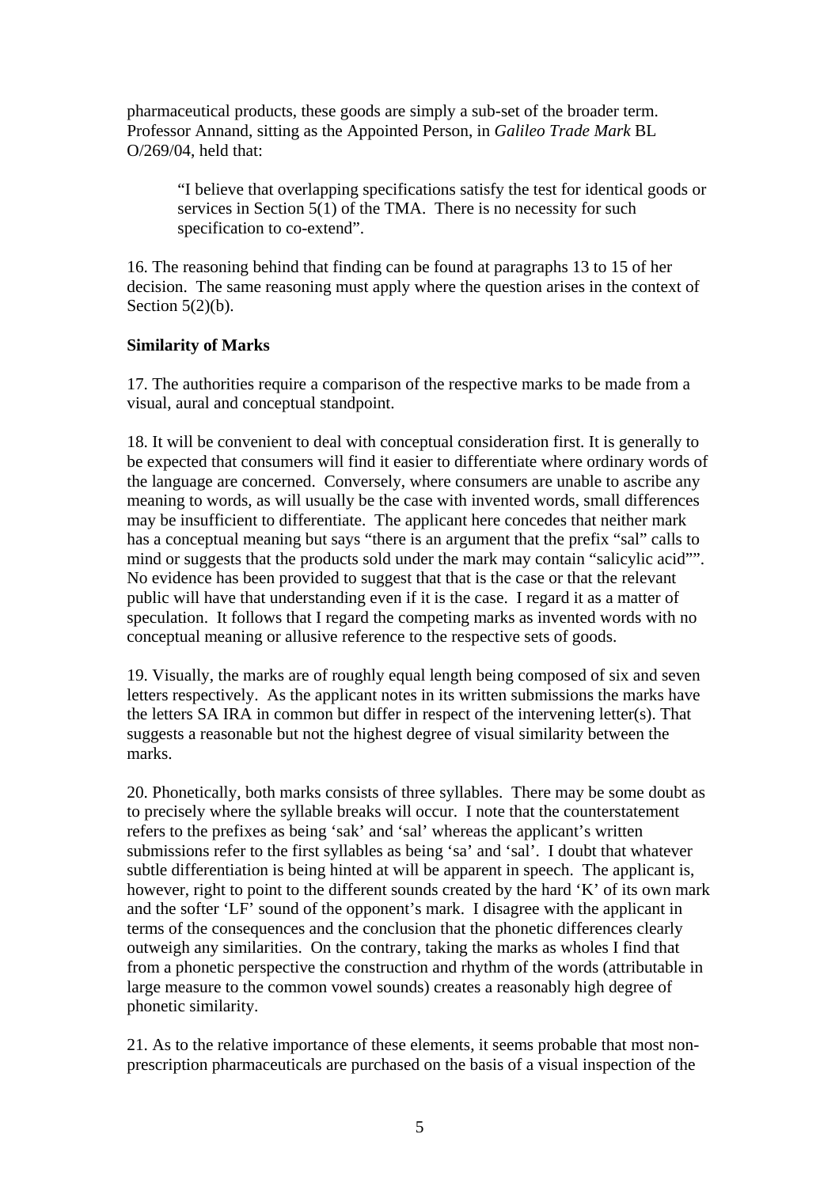pharmaceutical products, these goods are simply a sub-set of the broader term. Professor Annand, sitting as the Appointed Person, in *Galileo Trade Mark* BL O/269/04, held that:

"I believe that overlapping specifications satisfy the test for identical goods or services in Section 5(1) of the TMA. There is no necessity for such specification to co-extend".

16. The reasoning behind that finding can be found at paragraphs 13 to 15 of her decision. The same reasoning must apply where the question arises in the context of Section  $5(2)(b)$ .

### **Similarity of Marks**

17. The authorities require a comparison of the respective marks to be made from a visual, aural and conceptual standpoint.

18. It will be convenient to deal with conceptual consideration first. It is generally to be expected that consumers will find it easier to differentiate where ordinary words of the language are concerned. Conversely, where consumers are unable to ascribe any meaning to words, as will usually be the case with invented words, small differences may be insufficient to differentiate. The applicant here concedes that neither mark has a conceptual meaning but says "there is an argument that the prefix "sal" calls to mind or suggests that the products sold under the mark may contain "salicylic acid"". No evidence has been provided to suggest that that is the case or that the relevant public will have that understanding even if it is the case. I regard it as a matter of speculation. It follows that I regard the competing marks as invented words with no conceptual meaning or allusive reference to the respective sets of goods.

19. Visually, the marks are of roughly equal length being composed of six and seven letters respectively. As the applicant notes in its written submissions the marks have the letters SA IRA in common but differ in respect of the intervening letter(s). That suggests a reasonable but not the highest degree of visual similarity between the marks.

20. Phonetically, both marks consists of three syllables. There may be some doubt as to precisely where the syllable breaks will occur. I note that the counterstatement refers to the prefixes as being 'sak' and 'sal' whereas the applicant's written submissions refer to the first syllables as being 'sa' and 'sal'. I doubt that whatever subtle differentiation is being hinted at will be apparent in speech. The applicant is, however, right to point to the different sounds created by the hard 'K' of its own mark and the softer 'LF' sound of the opponent's mark. I disagree with the applicant in terms of the consequences and the conclusion that the phonetic differences clearly outweigh any similarities. On the contrary, taking the marks as wholes I find that from a phonetic perspective the construction and rhythm of the words (attributable in large measure to the common vowel sounds) creates a reasonably high degree of phonetic similarity.

21. As to the relative importance of these elements, it seems probable that most nonprescription pharmaceuticals are purchased on the basis of a visual inspection of the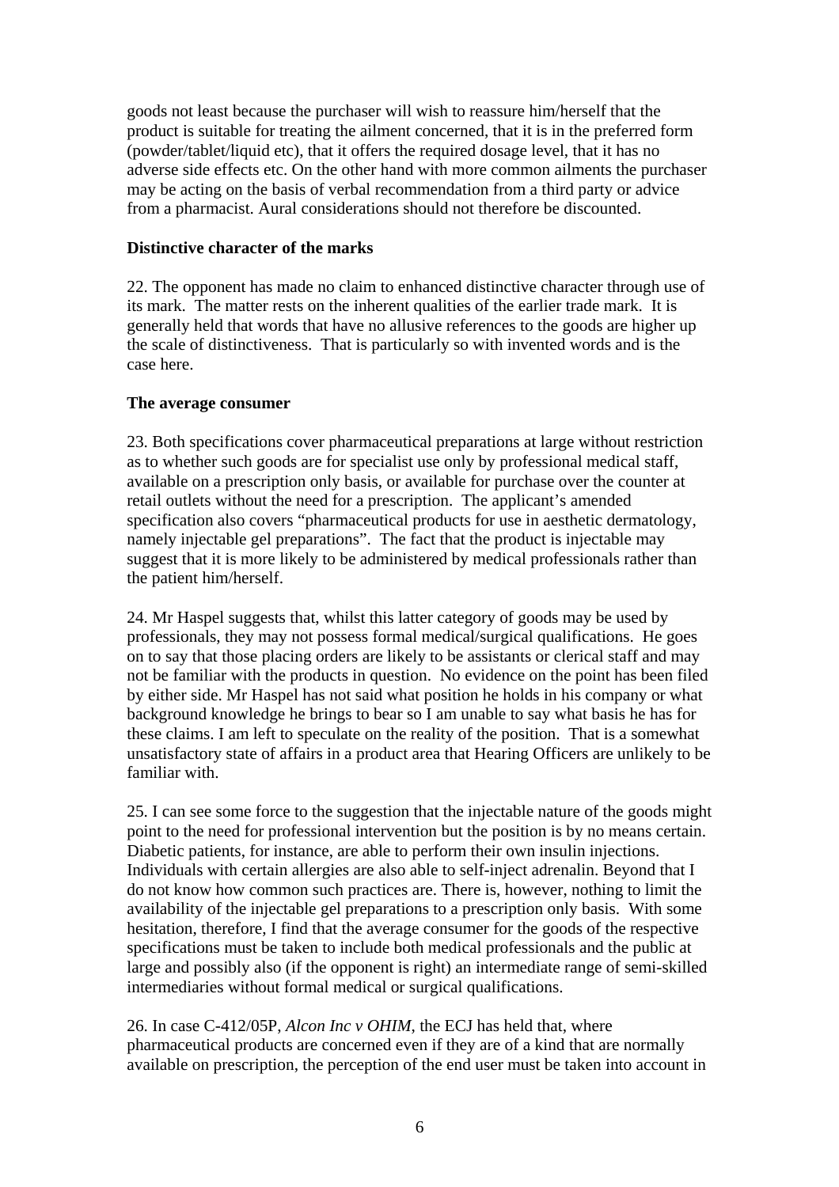goods not least because the purchaser will wish to reassure him/herself that the product is suitable for treating the ailment concerned, that it is in the preferred form (powder/tablet/liquid etc), that it offers the required dosage level, that it has no adverse side effects etc. On the other hand with more common ailments the purchaser may be acting on the basis of verbal recommendation from a third party or advice from a pharmacist. Aural considerations should not therefore be discounted.

#### **Distinctive character of the marks**

22. The opponent has made no claim to enhanced distinctive character through use of its mark. The matter rests on the inherent qualities of the earlier trade mark. It is generally held that words that have no allusive references to the goods are higher up the scale of distinctiveness. That is particularly so with invented words and is the case here.

#### **The average consumer**

23. Both specifications cover pharmaceutical preparations at large without restriction as to whether such goods are for specialist use only by professional medical staff, available on a prescription only basis, or available for purchase over the counter at retail outlets without the need for a prescription. The applicant's amended specification also covers "pharmaceutical products for use in aesthetic dermatology, namely injectable gel preparations". The fact that the product is injectable may suggest that it is more likely to be administered by medical professionals rather than the patient him/herself.

24. Mr Haspel suggests that, whilst this latter category of goods may be used by professionals, they may not possess formal medical/surgical qualifications. He goes on to say that those placing orders are likely to be assistants or clerical staff and may not be familiar with the products in question. No evidence on the point has been filed by either side. Mr Haspel has not said what position he holds in his company or what background knowledge he brings to bear so I am unable to say what basis he has for these claims. I am left to speculate on the reality of the position. That is a somewhat unsatisfactory state of affairs in a product area that Hearing Officers are unlikely to be familiar with.

25. I can see some force to the suggestion that the injectable nature of the goods might point to the need for professional intervention but the position is by no means certain. Diabetic patients, for instance, are able to perform their own insulin injections. Individuals with certain allergies are also able to self-inject adrenalin. Beyond that I do not know how common such practices are. There is, however, nothing to limit the availability of the injectable gel preparations to a prescription only basis. With some hesitation, therefore, I find that the average consumer for the goods of the respective specifications must be taken to include both medical professionals and the public at large and possibly also (if the opponent is right) an intermediate range of semi-skilled intermediaries without formal medical or surgical qualifications.

26. In case C-412/05P, *Alcon Inc v OHIM*, the ECJ has held that, where pharmaceutical products are concerned even if they are of a kind that are normally available on prescription, the perception of the end user must be taken into account in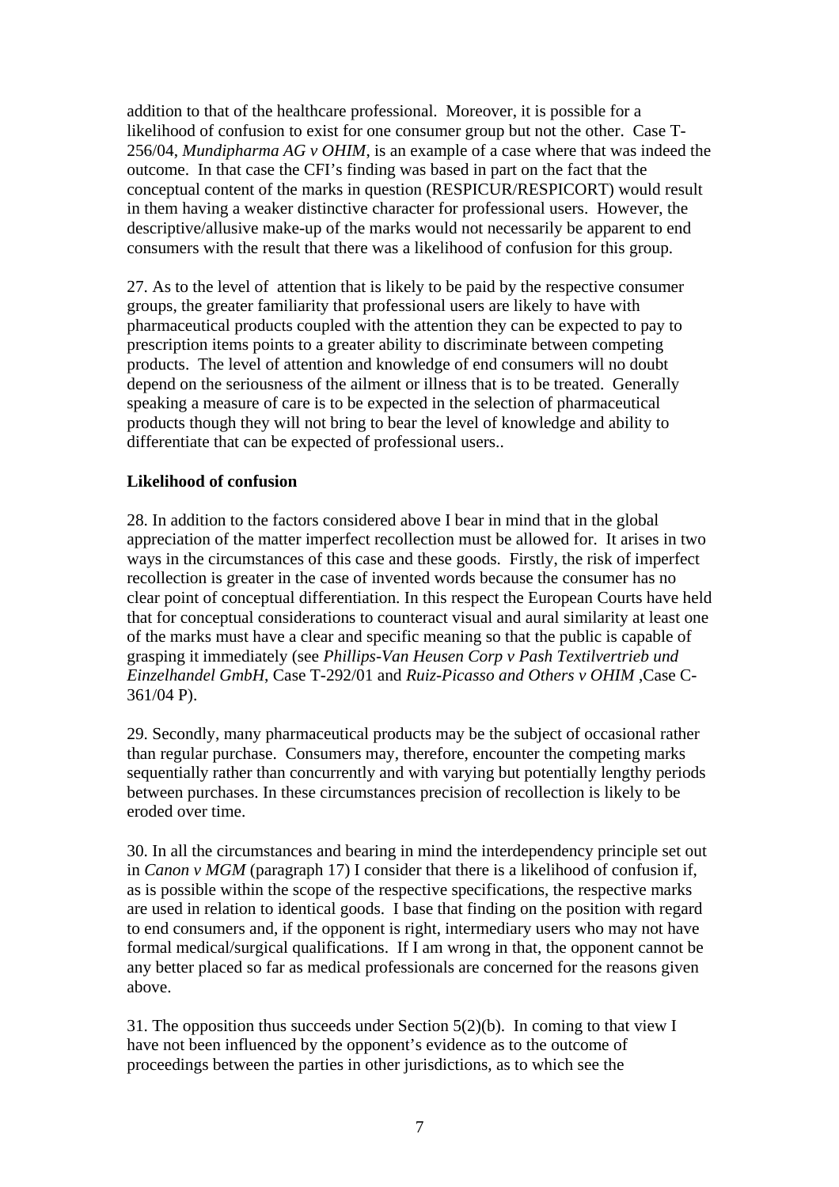addition to that of the healthcare professional. Moreover, it is possible for a likelihood of confusion to exist for one consumer group but not the other. Case T-256/04, *Mundipharma AG v OHIM*, is an example of a case where that was indeed the outcome. In that case the CFI's finding was based in part on the fact that the conceptual content of the marks in question (RESPICUR/RESPICORT) would result in them having a weaker distinctive character for professional users. However, the descriptive/allusive make-up of the marks would not necessarily be apparent to end consumers with the result that there was a likelihood of confusion for this group.

27. As to the level of attention that is likely to be paid by the respective consumer groups, the greater familiarity that professional users are likely to have with pharmaceutical products coupled with the attention they can be expected to pay to prescription items points to a greater ability to discriminate between competing products. The level of attention and knowledge of end consumers will no doubt depend on the seriousness of the ailment or illness that is to be treated. Generally speaking a measure of care is to be expected in the selection of pharmaceutical products though they will not bring to bear the level of knowledge and ability to differentiate that can be expected of professional users..

# **Likelihood of confusion**

28. In addition to the factors considered above I bear in mind that in the global appreciation of the matter imperfect recollection must be allowed for. It arises in two ways in the circumstances of this case and these goods. Firstly, the risk of imperfect recollection is greater in the case of invented words because the consumer has no clear point of conceptual differentiation. In this respect the European Courts have held that for conceptual considerations to counteract visual and aural similarity at least one of the marks must have a clear and specific meaning so that the public is capable of grasping it immediately (see *Phillips-Van Heusen Corp v Pash Textilvertrieb und Einzelhandel GmbH*, Case T-292/01 and *Ruiz-Picasso and Others v OHIM* ,Case C-361/04 P).

29. Secondly, many pharmaceutical products may be the subject of occasional rather than regular purchase. Consumers may, therefore, encounter the competing marks sequentially rather than concurrently and with varying but potentially lengthy periods between purchases. In these circumstances precision of recollection is likely to be eroded over time.

30. In all the circumstances and bearing in mind the interdependency principle set out in *Canon v MGM* (paragraph 17) I consider that there is a likelihood of confusion if, as is possible within the scope of the respective specifications, the respective marks are used in relation to identical goods. I base that finding on the position with regard to end consumers and, if the opponent is right, intermediary users who may not have formal medical/surgical qualifications. If I am wrong in that, the opponent cannot be any better placed so far as medical professionals are concerned for the reasons given above.

31. The opposition thus succeeds under Section 5(2)(b). In coming to that view I have not been influenced by the opponent's evidence as to the outcome of proceedings between the parties in other jurisdictions, as to which see the